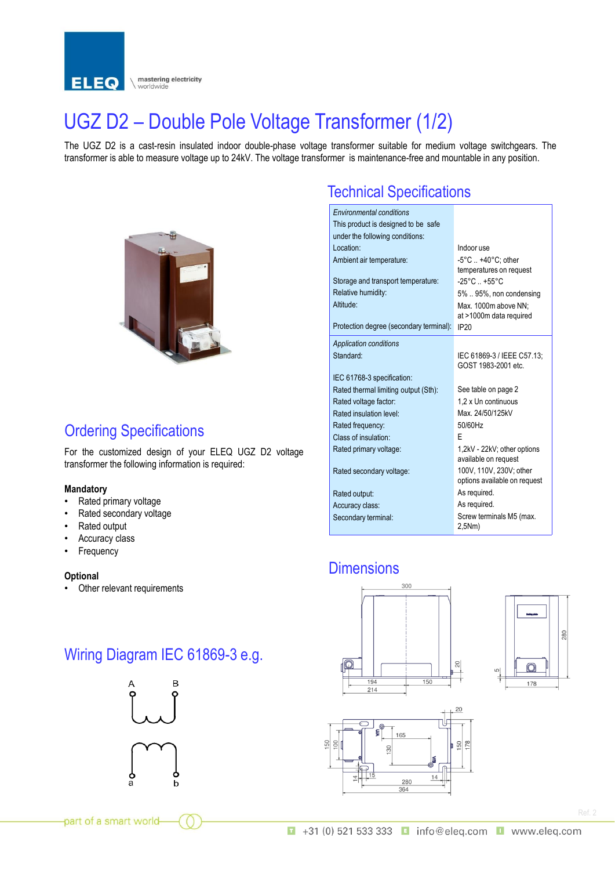

# UGZ D2 – Double Pole Voltage Transformer (1/2)

The UGZ D2 is a cast-resin insulated indoor double-phase voltage transformer suitable for medium voltage switchgears. The transformer is able to measure voltage up to 24kV. The voltage transformer is maintenance-free and mountable in any position.



### Ordering Specifications

For the customized design of your ELEQ UGZ D2 voltage transformer the following information is required:

#### **Mandatory**

- Rated primary voltage
- Rated secondary voltage
- Rated output
- Accuracy class
- **Frequency**

#### **Optional**

• Other relevant requirements

## Wiring Diagram IEC 61869-3 e.g.



## Technical Specifications

| <b>Environmental conditions</b><br>This product is designed to be safe<br>under the following conditions: |                                    |  |  |
|-----------------------------------------------------------------------------------------------------------|------------------------------------|--|--|
| Location:                                                                                                 | Indoor use                         |  |  |
| Ambient air temperature:                                                                                  | -5°C  +40°C; other                 |  |  |
|                                                                                                           | temperatures on request            |  |  |
| Storage and transport temperature:                                                                        | $-25^{\circ}$ C $+55^{\circ}$ C    |  |  |
| Relative humidity:                                                                                        | 5%  95%, non condensing            |  |  |
| Altitude:                                                                                                 | Max. 1000m above NN:               |  |  |
|                                                                                                           | at >1000m data required            |  |  |
| Protection degree (secondary terminal):                                                                   | IP20                               |  |  |
| <b>Application conditions</b>                                                                             |                                    |  |  |
| Standard:                                                                                                 | IEC 61869-3 / IEEE C57.13:         |  |  |
|                                                                                                           | GOST 1983-2001 etc.                |  |  |
| IEC 61768-3 specification:                                                                                |                                    |  |  |
| Rated thermal limiting output (Sth):                                                                      | See table on page 2                |  |  |
| Rated voltage factor:                                                                                     | 1.2 x Un continuous                |  |  |
| Rated insulation level:                                                                                   | Max 24/50/125kV                    |  |  |
| Rated frequency:                                                                                          | 50/60Hz                            |  |  |
| Class of insulation:                                                                                      | F                                  |  |  |
| Rated primary voltage:                                                                                    | 1,2kV - 22kV; other options        |  |  |
|                                                                                                           | available on request               |  |  |
| Rated secondary voltage:                                                                                  | 100V, 110V, 230V; other            |  |  |
|                                                                                                           | options available on request       |  |  |
| Rated output:                                                                                             | As required.                       |  |  |
| Accuracy class:                                                                                           | As required.                       |  |  |
| Secondary terminal:                                                                                       | Screw terminals M5 (max.<br>2,5Nm) |  |  |

### **Dimensions**







part of a smart world-